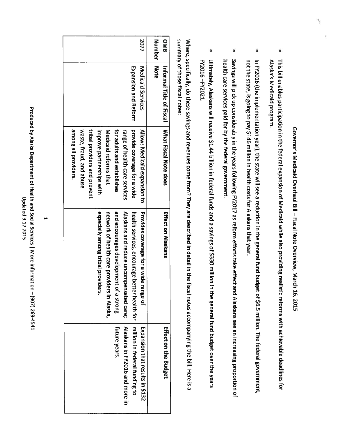Governor's Medicaid Overhaul Bill Fiscal Note Overview, March 16, 2015

- This  $\overline{a}$ enables participation  $\vec{p}$ the federal expansion ቧ<br>ት Medicaid while also providing realistic reforms with achievable deadlines ਕੂ Alaska's Medicaid program.
- $\overline{\mathbf{5}}$ FY2016 (the implementation year), ក្នុ state will see a reduction i the general fund budget <u>ຊ</u> \$6.5 million. The federal government, not the state, is going  $\overline{\mathbf{c}}$ pay \$146 million in. health costs <u>គ្</u> Alaskans that year.
- Savings  $\leqq$ pick 등 considerably  $\equiv$ the years following FY2017 as reform efforts take effect and Alaskans see an increasing proportion <u>្</u> health care services paid for হ the federal government.
- Ultimately, Alaskans  $\leqq$ receive \$1.44 billion i federal funds and a savings Զ \$330 million  $\vec{ }$ the general fund budget over the years FY2016-FY2021. —FY2021.

Where, specifically, do these savings and<br>D revenues come from? They a<br>a described in detail  $\Xi$ ' the fiscal notes accompanying the  $\Xi$ Here តា<br>តា summary Զ those fiscal notes:

|                                                 |                              |                                         |                                              |                                        |                                         |                                             | 2077                                     | <b>Number</b> | <b>ONB</b>                                   |
|-------------------------------------------------|------------------------------|-----------------------------------------|----------------------------------------------|----------------------------------------|-----------------------------------------|---------------------------------------------|------------------------------------------|---------------|----------------------------------------------|
|                                                 |                              |                                         |                                              |                                        |                                         | <b>Expansion and Reform</b>                 | Medicaid Services                        | <b>Note</b>   |                                              |
| among all providers.<br>waste, fraud, and abuse | tribal providers and prevent | improve partnerships with               | Medicaid reforms that                        | for address and establishes            | range of health care services           | provide coverage for a wide                 | Allows Medicaid expansion to             |               | Internative of Fiscal Notat Fiscal Note does |
|                                                 |                              | especially among tribal provid<br>lers. | network of thealth care providers in Alaska, | and encourages development of a strong | Alaskans and reduce uncompensated care; | realth services, encourage petter health to | Provides coverage for a wide<br>range of |               | Effect on Alaskans                           |
|                                                 |                              |                                         |                                              | <b>future years</b>                    | Nuskans in FY2016 and more in           | Inition in tederal furtion to               | Expansion that results in \$132          |               | <b>Ettect on the Badget</b>                  |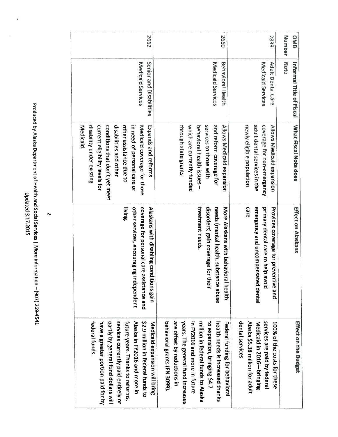2662 2660 0MB 2839 Number l!umber Note Medicaid Services Medicald Services **Behavioral Health** Medicaid Services Adult Medicaid Senior Medicaid Behavioral Medicaid Informal 0enta and Title Disabilities Care of Fiscal **Medicaid**. coverage for non-emergency Medicaid. disability current conditions disabilities other  $\vec{p}$ Medicaid Expands through which behavioral services and Allows newly adult coverage Aliows What need reform dental assistance Fiscal a<br>a eligible Medicaid Medicaid eligibility Չ to state a<br>D under coverage currently personal that those a<br>Du health coverage Note services reforms non-emergency grants population other don't existing du<br>Bu expansion expansion with levels does issues <u>ቫ</u> care funded  $\vec{\circ}$ for s: yet those ਕ੍ਰ the or meet care living. treatment needs. other coverage Alaskans treatment disorders) needs More emergency primary Effect Provides services, Alaskans on (mental dental ×<br>T‡ coverage for Alaskans gain a<br>B personal disabling health, encouraging coverage with care uncompensated for behavioral  $\mathbf{s}$ ca<br>Fe substance preventive he<br>P conditions ਰ੍ਹ assistance independent avoid their health dental abuse an<br>B gain a<br>D Medicaid in 2016-bringing federal have a partly services future Alaska ي<br>ة behavioral م<br>ה years. in million  $\mathbf{s}$ health Federal dental Alaska Medicaid services Effect Medicaid 100% FY2016 expansion, offset million Զ by The on years. in needs services \$5.38 greater in funds. funding currently ar<br>a the general FY2016 expansion federal the হ a<br>D general grants in 2016—bringing paid costs Thanks reductions million is Budget bringing federal more portion increased ਰੂ an<br>B by fund funds paid ጉ<br>አ for fund behavioral federal  $\breve{\Xi}$ in ਕੁ to more these 3099). funds dollars future \$4.7 paid entirely reforms, to increases adult bring in thanks Alaska in. for  $\overline{\mathsf{o}}$  $\stackrel{\leq}{=}$ or হ

Updated 3.17.2015 3.17.2015

Produced

269-4541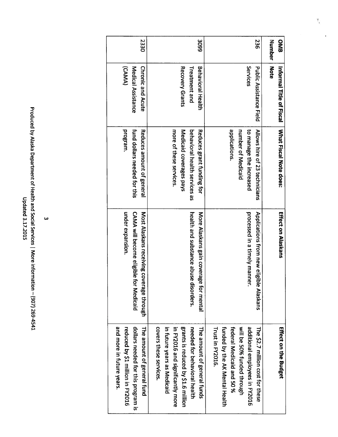| dated 3.17.2015 | Produced by Alaska Department of Health and Social Services   More information - (907) 269-4541 |
|-----------------|-------------------------------------------------------------------------------------------------|
|                 |                                                                                                 |

 $\mathcal{I}_\gamma$ 

k,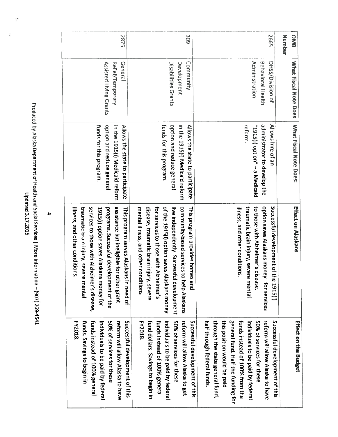Produced by Alaska Department ቧ Health an<br>1 Social Services More information (907) 269-4541

| Relief/Temporary<br>Assisted Living Grants                                                                                                                                                                 | General                                                                                                                                                                 | Disabilities Grants<br>Development                                                                                                                                                                                  |
|------------------------------------------------------------------------------------------------------------------------------------------------------------------------------------------------------------|-------------------------------------------------------------------------------------------------------------------------------------------------------------------------|---------------------------------------------------------------------------------------------------------------------------------------------------------------------------------------------------------------------|
| funds for this program.<br>option and reduce general<br>in the 1915(i) Medicaid reform                                                                                                                     | Allows the state to participate                                                                                                                                         | funds for this program.<br>option and reduce general                                                                                                                                                                |
| services to see with Alzheimer's disease,<br>programs. Successful development of the<br>illness, and other conditions.<br>traumatic brain injury, severe mental<br>1915(i) option saves Alaskans money for | assistance but ineligible for other grant<br>This program serves Alaskans in need of<br>disease, traumatic brain injury, severe<br>mental illness, and other conditions | in the 1919 (i) Wedicald Telofili   community-pasce scriptions is made in the<br>live independently. Successful development<br>for services to those with Alzheimer's<br>of the 1915(i) option saves Alaskans money |
| individuals to be paid by federa<br><b>FY2018</b><br>funds. Savings to begin in<br>funds instead of 100% general<br>50% of services for these                                                              | Successful development of this<br>fund dollars. Savings to begin in<br>reform will allow Alaska to have<br><b>FY2018</b>                                                | individuals to be paid by federa<br>50% of services tor these<br>funds instead of 100% general                                                                                                                      |

2875

DHSS/Division DHSS/Division of

2665

Allows

hire  $\overline{\mathbf{c}}$  $\mathbf{a}$ 

dminstrator

"1915(i)

reform.

option"

a

Medicaid

 $\vec{a}$ those

traumatic

illness,

and

other

conditions.

brain

injury,

severe

mental

individuals

funds

general

this

through

half

through

federal

funds.

the

state

general

fund,

position

would

ă paid fund.

Half  $\sharp$ 

funding

 $\vec{q}$ 

instead

<u>o</u> 100%

from

 $\Xi$ 

 $\mathbf{z}$ ă paid by

federal

with

Alzheimer's

disease,

 $\mathbf{z}$ 

develop

the

option

saves

Alaskans

money

for

services

reform

50% of

services

 $\vec{p}$ 

these

 $\leq$ 

allow

Alaska

 $\vec{a}$ have Successful

development

**q**  $\frac{1}{2}$ 

1915(i)

Successful

development

 $\overline{\mathsf{d}}$ this What

0MB

Number

| Mhat

ista!

4nte

Does

Fiscal

Note

Does:

Effect

on

Alaskans

Effect

on  $\frac{1}{2}$ 

Budget

Behaviora **Behavioral Health** Administration

Administration

309

Community

Allows

in the

1915(1)

Medicaid

reform

the

state  $\mathbf{z}$ 

participate

This

program

community-based

services

 $\vec{a}$ help

Alaskans

reform

 $\leq$ 

allow

Alaska

 $\mathbf{z}$ get provides

homes

and

Successful

development

 $\overline{\mathbf{c}}$ this

Development Community

4

Updated 3.17.2015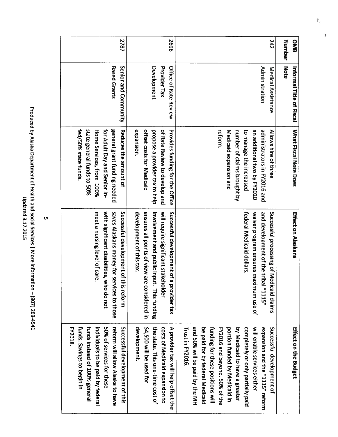| <b>OMB</b> | Informal Title of Fiscal | What Fiscal Note Does                                    | Effect on Alaskans                                                         | Effect on the Budget                                          |
|------------|--------------------------|----------------------------------------------------------|----------------------------------------------------------------------------|---------------------------------------------------------------|
| Number     | <b>Note</b>              |                                                          |                                                                            |                                                               |
| 242        | Medical Assistance       | Allows hire of three                                     | Successful processing of Medi<br>caid claims                               | Successful development of                                     |
|            | Administration           | administrators in FY2016 and                             | and development of the tribal<br>"SIIL"                                    | expansion and the "115" reform                                |
|            |                          | an additional two by FY2020                              | waiver program ensures maximum use of                                      | will enable services either                                   |
|            |                          | to manage the increased                                  | federal Medicaid dollars.                                                  | completely or only partially paid                             |
|            |                          | number of claims brought by                              |                                                                            | by Medicaid to have a greater                                 |
|            |                          | Medicaid expansion and                                   |                                                                            | portion traded by Nedicaid in                                 |
|            |                          | reform.                                                  |                                                                            | FY2016 and beyond. 50% of the                                 |
|            |                          |                                                          |                                                                            | funding for these positions will                              |
|            |                          |                                                          |                                                                            | be paid for by federal Medicaid                               |
|            |                          |                                                          |                                                                            | and 50% will be paid by the MH                                |
|            |                          |                                                          |                                                                            | Trust in FY2016                                               |
| 9692       | Office of Rate Review    | <b>Provides funding for the Office</b>                   | Successful development of a provider tax                                   | A provider tax will help offset the                           |
|            | Provider Tax             | of Rate Review to develop and                            | will require significant stakeholder                                       | costs of Medicaid expansion to                                |
|            | Development              | propose a provider tax to help                           | involvement and public input.<br><b>This funding</b>                       | the state. This one-time cost of                              |
|            |                          | offset costs for Medicaid                                | ensures all points of view are<br>considered in                            | \$4,500 will be used for                                      |
|            |                          | expansion.                                               | development of this tax.                                                   | development.                                                  |
| 2787       | Senior and Community     | Reduces the amount of                                    | Successful development of this reform                                      | Successful development of this                                |
|            | <b>Based Grants</b>      | general grant funding needed                             | saves Alaskans money for services to those                                 | reform will allow Alaska to have<br>50% of services for these |
|            |                          | Home Services, from 100%<br>for Adult Day and Senior In- | with significant disabilities, who do not<br>meet a nursing level of care. | individuals to be paid by federal                             |
|            |                          | state general funds to 50%                               |                                                                            | funds instead of 100% general                                 |
|            |                          | fed/50% state funds.                                     |                                                                            | funds. Savings to begin in                                    |
|            |                          |                                                          |                                                                            | <b>FY2018</b>                                                 |

Produced হ Alaska Department ۹ Health and<br>E Social Services More information (907) 269-4541 Updated 3.17.2015

1